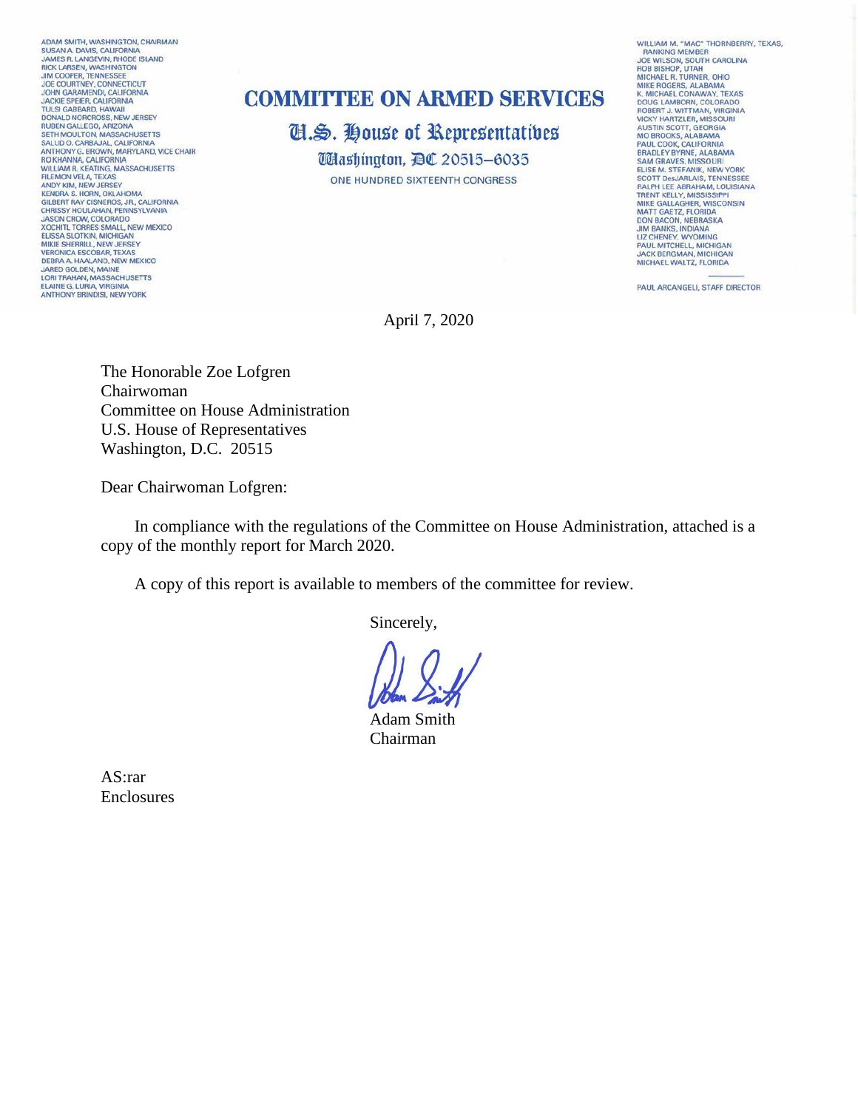ADAM SMITH, WASHINGTON, CHAIRMAN SUSAN A. DAVIS, CALIFORNIA<br>JAMES R. LANGEVIN, RHODE ISLAND<br>RICK LARSEN, WASHINGTON **JIM COOPER, TENNESSEE** JOE COURTNEY, CONNECTICUT<br>JOHN GARAMENDI, CALIFORNIA<br>JACKIE SPEIER, CALIFORNIA **TULSI GARRARD, HAWAII DONALD NORCROSS, NEW JERSEY<br>RUBEN GALLEGO, ARIZONA<br>SETH MOULTON, MASSACHUSETTS** SALUD O. CARBAJAL, CALIFORNIA<br>ANTHONY G. BROWN, MARYLAND, VICE CHAIR<br>RO KHANNA, CALIFORNIA **WILLIAM R. KEATING, MASSACHUSETTS WILLIAM R. KEATING, MASSACI**<br>FILEMON VELA, TEXAS<br>ANDY KIM, NEW JERSEY<br>KENDRA S. HORN, OKLAHOMA GILBERT RAY CISNEROS, JR., CALIFORNIA<br>CHRISSY HOULAHAN, PENNSYLVANIA<br>JASON CROW, COLORADO XOCHITL TORRES SMALL, NEW MEXICO **ELISSA SLOTKIN, MICHIGAN<br>MIKIE SHERRILL, NEW JERSEY<br>VERONICA ESCOBAR, TEXAS** DEBRA A HAALAND, NEW MEXICO<br>JARED GOLDEN, MAINE<br>LORI TRAHAN, MASSACHUSETTS **ELAINE G. LURIA, VIRGINIA ANTHONY BRINDISI, NEW YORK** 

## **COMMITTEE ON ARMED SERVICES**

**II.S. House of Representatives** *Udashington, DC 20515-6035* ONE HUNDRED SIXTEENTH CONGRESS

WILLIAM M. "MAC" THORNBERRY, TEXAS, WILLIAM M. "MAC" THORNBERR<br>
RANKING MEMBER<br>
JOE WILSON, SOUTH CAROLINA<br>
ROB BISHOP, UTAH<br>
MICHAEL R. TURNER, OHIO<br>
MICHAEL ROGERS, ALABAMA<br>
K. MICHAEL CONAWAY, TEXAS<br>
K. MICHAEL CONAWAY, TEXAS<br>
MICE ROGERS, ALABAMA **COUGLAMBORN, COLORADO<br>ROBERT J. WITTMAN, VIRGINIA<br>VICKY HARTZLER, MISSOURI** AUSTIN SCOTT, GEORGIA<br>MO BROOKS, ALABAMA<br>PAUL COOK, CALIFORNIA<br>BRADLEY BYRNE, ALABAMA SAM GRAVES, MISSOURI<br>ELISE M. STEFANIK, NEW YORK<br>SCOTT DesJARLAIS, TENNESSEE RALPH LEE ABRAHAM, LOUISIANA TRENT KELLY, MISSISSIPPI<br>MIKE GALLAGHER, WISCONSIN MATT GAETZ, FLORIDA DON BACON, NEBRASKA<br>JIM BANKS, INDIANA<br>LIZ CHENEY, WYOMING PAUL MITCHELL, MICHIGAN<br>JACK BERGMAN, MICHIGAN<br>MICHAEL WALTZ, FLORIDA

PAUL ARCANGELI, STAFF DIRECTOR

April 7, 2020

The Honorable Zoe Lofgren Chairwoman Committee on House Administration U.S. House of Representatives Washington, D.C. 20515

Dear Chairwoman Lofgren:

 In compliance with the regulations of the Committee on House Administration, attached is a copy of the monthly report for March 2020.

A copy of this report is available to members of the committee for review.

Sincerely,

Adam Smith Chairman

AS:rar Enclosures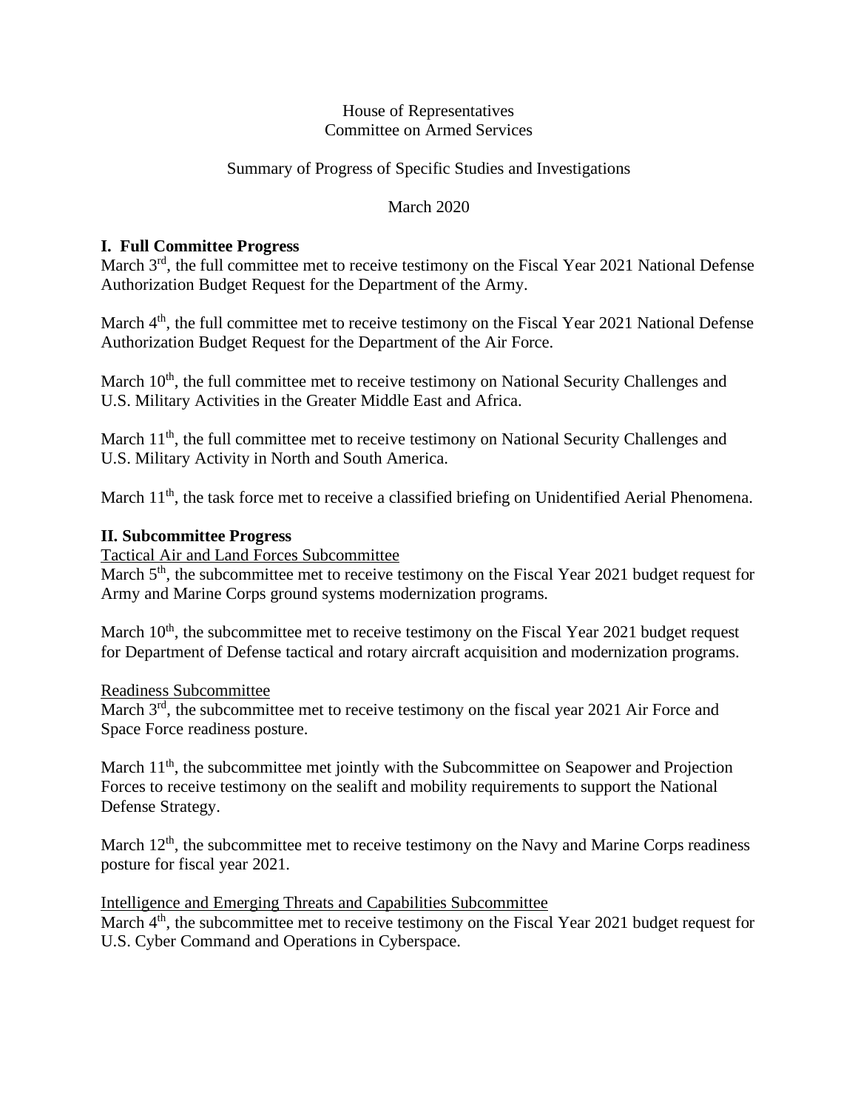#### House of Representatives Committee on Armed Services

### Summary of Progress of Specific Studies and Investigations

### March 2020

#### **I. Full Committee Progress**

March 3<sup>rd</sup>, the full committee met to receive testimony on the Fiscal Year 2021 National Defense Authorization Budget Request for the Department of the Army.

March 4<sup>th</sup>, the full committee met to receive testimony on the Fiscal Year 2021 National Defense Authorization Budget Request for the Department of the Air Force.

March 10<sup>th</sup>, the full committee met to receive testimony on National Security Challenges and U.S. Military Activities in the Greater Middle East and Africa.

March  $11<sup>th</sup>$ , the full committee met to receive testimony on National Security Challenges and U.S. Military Activity in North and South America.

March 11<sup>th</sup>, the task force met to receive a classified briefing on Unidentified Aerial Phenomena.

#### **II. Subcommittee Progress**

Tactical Air and Land Forces Subcommittee

March 5<sup>th</sup>, the subcommittee met to receive testimony on the Fiscal Year 2021 budget request for Army and Marine Corps ground systems modernization programs.

March 10<sup>th</sup>, the subcommittee met to receive testimony on the Fiscal Year 2021 budget request for Department of Defense tactical and rotary aircraft acquisition and modernization programs.

#### Readiness Subcommittee

March 3<sup>rd</sup>, the subcommittee met to receive testimony on the fiscal year 2021 Air Force and Space Force readiness posture.

March  $11<sup>th</sup>$ , the subcommittee met jointly with the Subcommittee on Seapower and Projection Forces to receive testimony on the sealift and mobility requirements to support the National Defense Strategy.

March  $12<sup>th</sup>$ , the subcommittee met to receive testimony on the Navy and Marine Corps readiness posture for fiscal year 2021.

Intelligence and Emerging Threats and Capabilities Subcommittee

March 4<sup>th</sup>, the subcommittee met to receive testimony on the Fiscal Year 2021 budget request for U.S. Cyber Command and Operations in Cyberspace.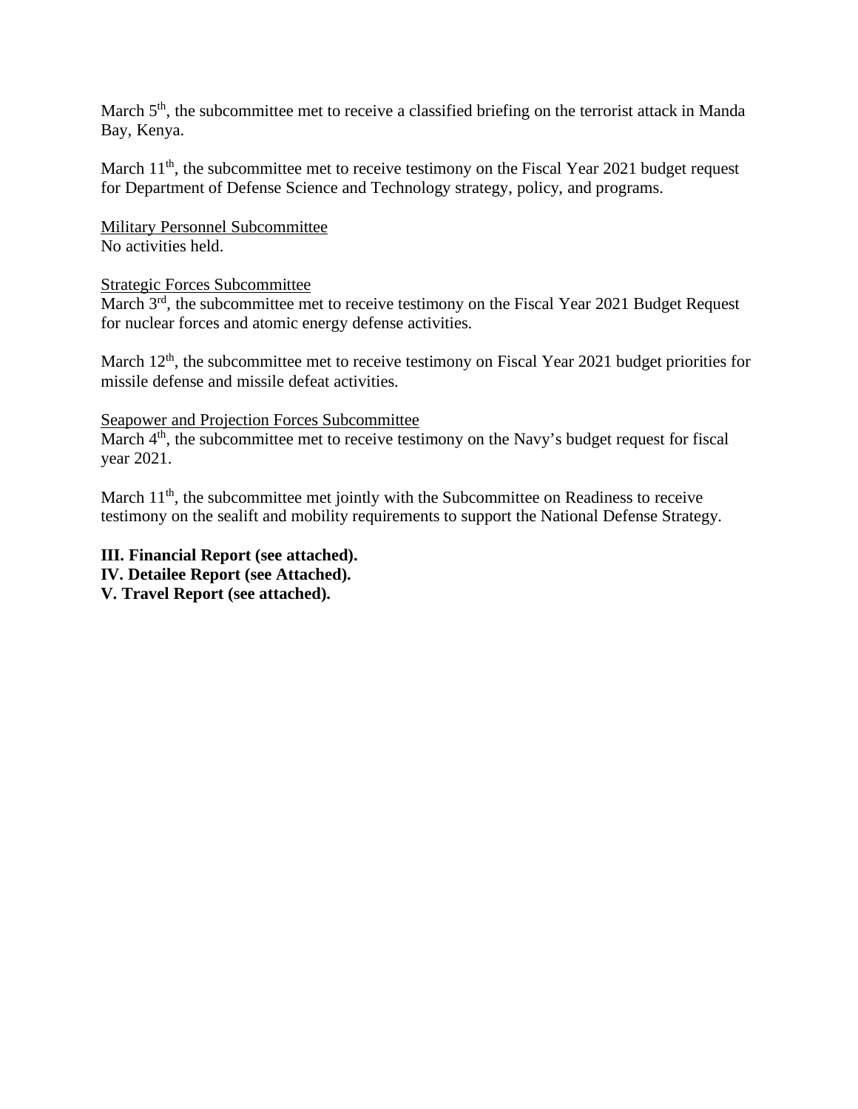March 5<sup>th</sup>, the subcommittee met to receive a classified briefing on the terrorist attack in Manda Bay, Kenya.

March  $11<sup>th</sup>$ , the subcommittee met to receive testimony on the Fiscal Year 2021 budget request for Department of Defense Science and Technology strategy, policy, and programs.

Military Personnel Subcommittee No activities held.

#### Strategic Forces Subcommittee

March  $3<sup>rd</sup>$ , the subcommittee met to receive testimony on the Fiscal Year 2021 Budget Request for nuclear forces and atomic energy defense activities.

March  $12<sup>th</sup>$ , the subcommittee met to receive testimony on Fiscal Year 2021 budget priorities for missile defense and missile defeat activities.

#### Seapower and Projection Forces Subcommittee

March  $4<sup>th</sup>$ , the subcommittee met to receive testimony on the Navy's budget request for fiscal year 2021.

March  $11<sup>th</sup>$ , the subcommittee met jointly with the Subcommittee on Readiness to receive testimony on the sealift and mobility requirements to support the National Defense Strategy.

**III. Financial Report (see attached). IV. Detailee Report (see Attached). V. Travel Report (see attached).**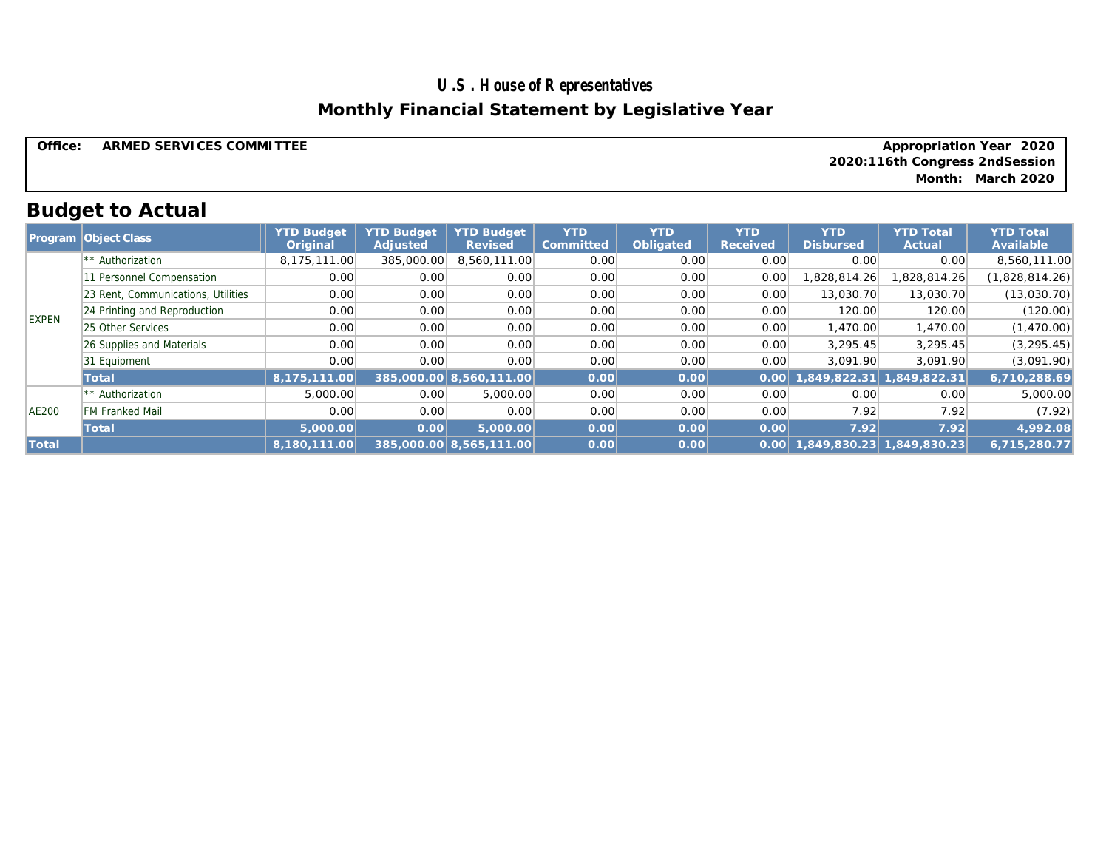# **U.S. House of Representatives Monthly Financial Statement by Legislative Year**

| Office. | ARMED SERVICES COMMITTEE | Appropriation Year 2020        |
|---------|--------------------------|--------------------------------|
|         |                          | 2020:116th Congress 2ndSession |
|         |                          | Month: March 2020              |
|         |                          |                                |

# **Budget to Actual**

|              | <b>Program Object Class</b>        | <b>YTD Budget</b><br>Original | <b>YTD Budget</b><br>Adjusted | <b>YTD Budget</b><br>Revised | <b>YTD</b><br>Committed | <b>YTD</b><br>Obligated | <b>YTD</b><br>Received | <b>YTD</b><br><b>Disbursed</b> | <b>YTD Total</b><br>Actual | <b>YTD Total</b><br>Available |
|--------------|------------------------------------|-------------------------------|-------------------------------|------------------------------|-------------------------|-------------------------|------------------------|--------------------------------|----------------------------|-------------------------------|
|              | ** Authorization                   | 8,175,111.00                  | 385,000.00                    | 8,560,111.00                 | 0.00                    | 0.00                    | 0.00                   | 0.00                           | 0.00                       | 8,560,111.00                  |
|              | Personnel Compensation             | 0.00                          | 0.00                          | 0.00                         | 0.00                    | 0.00                    | 0.00                   | 1,828,814.26                   | ,828,814.26                | (1,828,814.26)                |
|              | 23 Rent, Communications, Utilities | 0.00                          | 0.00                          | 0.00                         | 0.00                    | 0.00                    | 0.00                   | 13,030.70                      | 13,030.70                  | (13,030.70)                   |
| <b>EXPEN</b> | 24 Printing and Reproduction       | 0.00                          | 0.00                          | 0.00                         | 0.00                    | 0.00                    | 0.00                   | 120.00                         | 120.00                     | (120.00)                      |
|              | 25 Other Services                  | 0.00                          | 0.00                          | 0.00                         | 0.00                    | 0.00                    | 0.00                   | 1,470.00                       | 1,470.00                   | (1,470.00)                    |
|              | 26 Supplies and Materials          | 0.00                          | 0.00                          | 0.00                         | 0.00                    | 0.00                    | 0.00                   | 3.295.45                       | 3,295.45                   | (3, 295.45)                   |
|              | 31 Equipment                       | 0.00                          | 0.00                          | 0.00                         | 0.00                    | 0.00                    | 0.00                   | 3.091.90                       | 3.091.90                   | (3,091.90)                    |
|              | Total                              | 8.175.111.00                  |                               | 385,000.00 8,560,111.00      | 0.00                    | 0.00                    | 0.00                   | 849.822.31                     | 1,849,822.31               | 6,710,288.69                  |
|              | ** Authorization                   | 5,000.00                      | 0.00                          | 5,000.00                     | 0.00                    | 0.00                    | 0.00                   | 0.00                           | 0.00                       | 5,000.00                      |
| <b>AE200</b> | <b>FM Franked Mail</b>             | 0.00                          | 0.00                          | 0.00                         | 0.00                    | 0.00                    | 0.00                   | 7.92                           | 7.92                       | (7.92)                        |
|              | Total                              | 5,000.00                      | 0.00                          | 5,000.00                     | 0.00                    | 0.00                    | 0.00                   | 7.92                           | 7.92                       | 4,992.08                      |
| Total        |                                    | 8,180,111.00                  |                               | 385,000.00 8,565,111.00      | 0.00                    | 0.00                    | 0.00                   |                                | 1,849,830.23 1,849,830.23  | 6.715.280.77                  |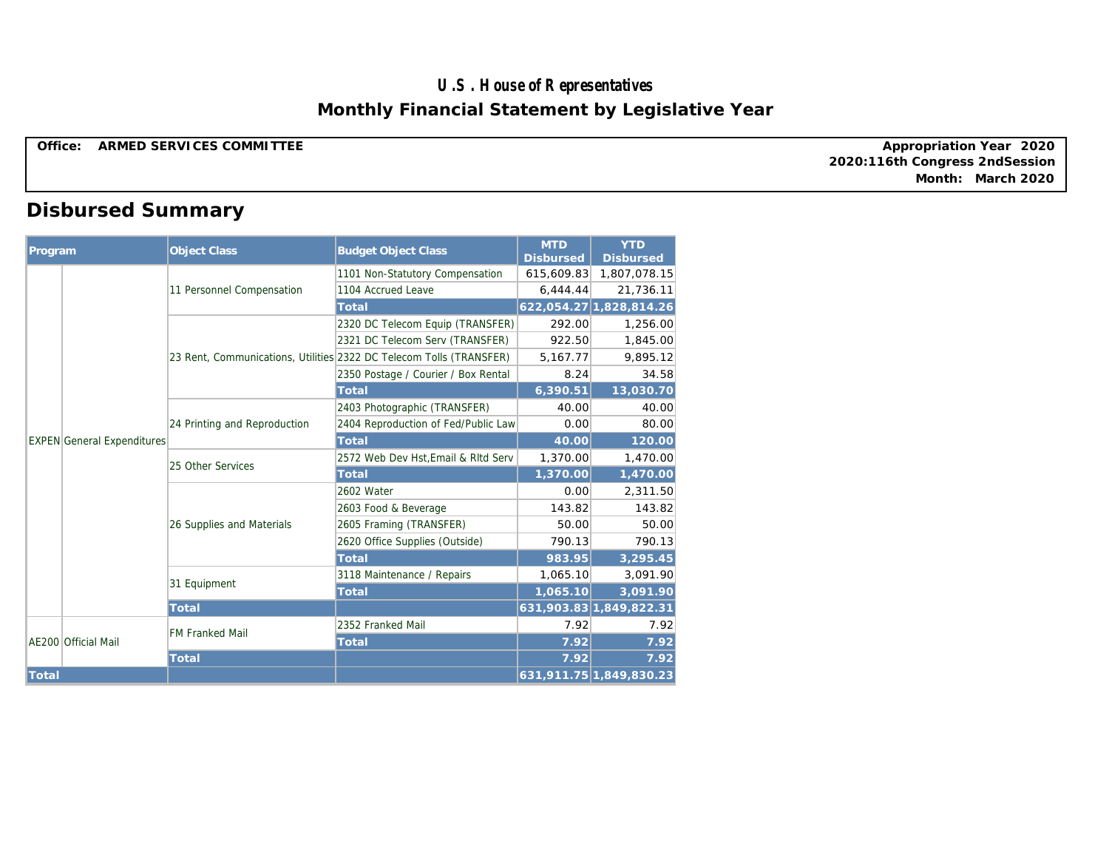### **U.S. House of Representatives Monthly Financial Statement by Legislative Year**

**Office: ARMED SERVICES COMMITTEE** 

**2020:116th Congress 2ndSession Appropriation Year 2020 Month: March 2020**

# **Disbursed Summary**

| Program |                                   | <b>Object Class</b>          | <b>Budget Object Class</b>                                          | <b>MTD</b><br><b>Disbursed</b> | <b>YTD</b><br><b>Disbursed</b> |
|---------|-----------------------------------|------------------------------|---------------------------------------------------------------------|--------------------------------|--------------------------------|
|         |                                   |                              | 1101 Non-Statutory Compensation                                     | 615,609.83                     | 1,807,078.15                   |
|         |                                   | 11 Personnel Compensation    | 1104 Accrued Leave                                                  | 6,444.44                       | 21,736.11                      |
|         |                                   |                              | Total                                                               |                                | 622,054.27 1,828,814.26        |
|         |                                   |                              | 2320 DC Telecom Equip (TRANSFER)                                    | 292.00                         | 1,256.00                       |
|         |                                   |                              | 2321 DC Telecom Serv (TRANSFER)                                     | 922.50                         | 1,845.00                       |
|         |                                   |                              | 23 Rent, Communications, Utilities 2322 DC Telecom Tolls (TRANSFER) | 5,167.77                       | 9,895.12                       |
|         |                                   |                              | 2350 Postage / Courier / Box Rental                                 | 8.24                           | 34.58                          |
|         |                                   |                              | Total                                                               | 6,390.51                       | 13,030.70                      |
|         |                                   |                              | 2403 Photographic (TRANSFER)                                        | 40.00                          | 40.00                          |
|         | <b>EXPEN</b> General Expenditures | 24 Printing and Reproduction | 2404 Reproduction of Fed/Public Law                                 | 0.00                           | 80.00                          |
|         |                                   |                              | Total                                                               | 40.00                          | 120.00                         |
|         |                                   | 25 Other Services            | 2572 Web Dev Hst, Email & RItd Serv                                 | 1,370.00                       | 1,470.00                       |
|         |                                   |                              | Total                                                               | 1,370.00                       | 1,470.00                       |
|         |                                   | 26 Supplies and Materials    | 2602 Water                                                          | 0.00                           | 2,311.50                       |
|         |                                   |                              | 2603 Food & Beverage                                                | 143.82                         | 143.82                         |
|         |                                   |                              | 2605 Framing (TRANSFER)                                             | 50.00                          | 50.00                          |
|         |                                   |                              | 2620 Office Supplies (Outside)                                      | 790.13                         | 790.13                         |
|         |                                   |                              | Total                                                               | 983.95                         | 3,295.45                       |
|         |                                   | 31 Equipment                 | 3118 Maintenance / Repairs                                          | 1,065.10                       | 3,091.90                       |
|         |                                   |                              | Total                                                               | 1,065.10                       | 3,091.90                       |
|         |                                   | Total                        |                                                                     |                                | 631,903.83 1,849,822.31        |
|         |                                   | <b>FM Franked Mail</b>       | 2352 Franked Mail                                                   | 7.92                           | 7.92                           |
|         | AE200 Official Mail               |                              | Total                                                               | 7.92                           | 7.92                           |
|         |                                   | Total                        |                                                                     | 7.92                           | 7.92                           |
| Total   |                                   |                              |                                                                     |                                | 631,911.75 1,849,830.23        |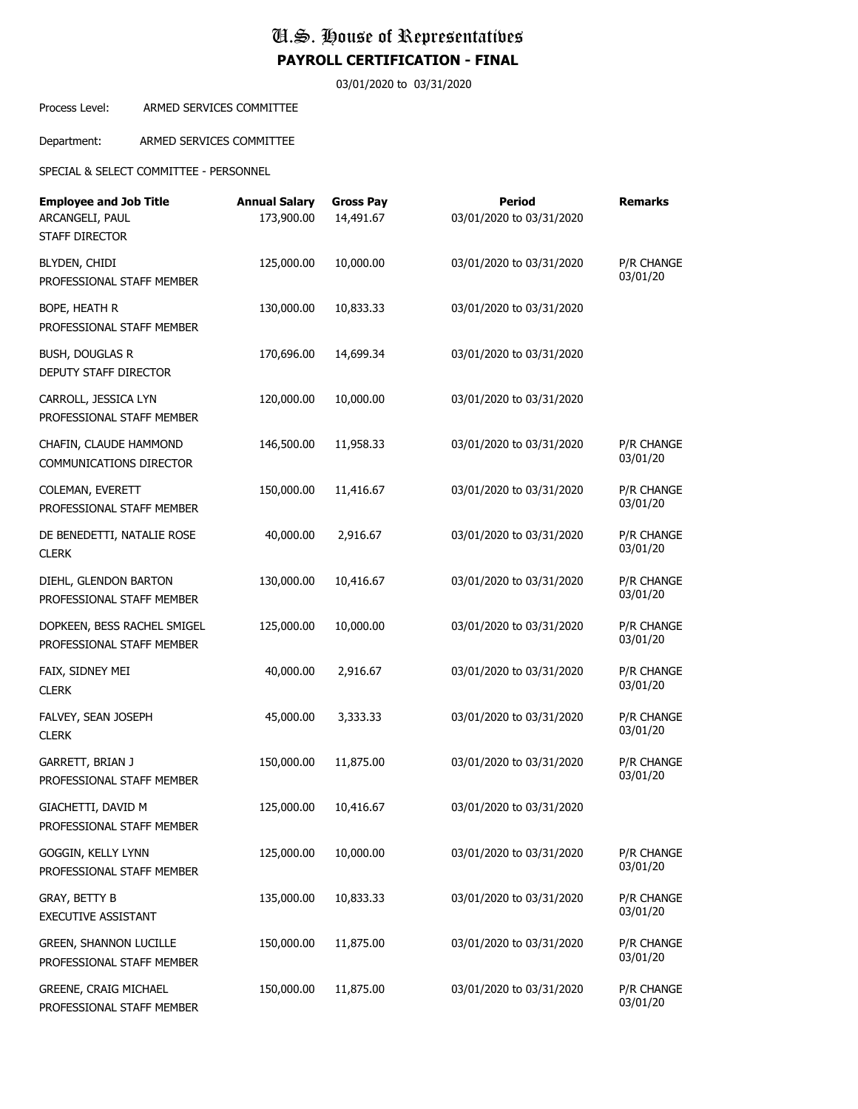03/01/2020 to 03/31/2020

Process Level: ARMED SERVICES COMMITTEE

Department: ARMED SERVICES COMMITTEE

SPECIAL & SELECT COMMITTEE - PERSONNEL

| <b>Employee and Job Title</b><br>ARCANGELI, PAUL<br><b>STAFF DIRECTOR</b> | <b>Annual Salary</b><br>173,900.00 | <b>Gross Pay</b><br>14,491.67 | Period<br>03/01/2020 to 03/31/2020 | <b>Remarks</b>         |
|---------------------------------------------------------------------------|------------------------------------|-------------------------------|------------------------------------|------------------------|
| BLYDEN, CHIDI<br>PROFESSIONAL STAFF MEMBER                                | 125,000.00                         | 10,000.00                     | 03/01/2020 to 03/31/2020           | P/R CHANGE<br>03/01/20 |
| BOPE, HEATH R<br>PROFESSIONAL STAFF MEMBER                                | 130,000.00                         | 10,833.33                     | 03/01/2020 to 03/31/2020           |                        |
| <b>BUSH, DOUGLAS R</b><br>DEPUTY STAFF DIRECTOR                           | 170,696.00                         | 14,699.34                     | 03/01/2020 to 03/31/2020           |                        |
| CARROLL, JESSICA LYN<br>PROFESSIONAL STAFF MEMBER                         | 120,000.00                         | 10,000.00                     | 03/01/2020 to 03/31/2020           |                        |
| CHAFIN, CLAUDE HAMMOND<br>COMMUNICATIONS DIRECTOR                         | 146,500.00                         | 11,958.33                     | 03/01/2020 to 03/31/2020           | P/R CHANGE<br>03/01/20 |
| COLEMAN, EVERETT<br>PROFESSIONAL STAFF MEMBER                             | 150,000.00                         | 11,416.67                     | 03/01/2020 to 03/31/2020           | P/R CHANGE<br>03/01/20 |
| DE BENEDETTI, NATALIE ROSE<br><b>CLERK</b>                                | 40,000.00                          | 2,916.67                      | 03/01/2020 to 03/31/2020           | P/R CHANGE<br>03/01/20 |
| DIEHL, GLENDON BARTON<br>PROFESSIONAL STAFF MEMBER                        | 130,000.00                         | 10,416.67                     | 03/01/2020 to 03/31/2020           | P/R CHANGE<br>03/01/20 |
| DOPKEEN, BESS RACHEL SMIGEL<br>PROFESSIONAL STAFF MEMBER                  | 125,000.00                         | 10,000.00                     | 03/01/2020 to 03/31/2020           | P/R CHANGE<br>03/01/20 |
| FAIX, SIDNEY MEI<br><b>CLERK</b>                                          | 40,000.00                          | 2,916.67                      | 03/01/2020 to 03/31/2020           | P/R CHANGE<br>03/01/20 |
| FALVEY, SEAN JOSEPH<br><b>CLERK</b>                                       | 45,000.00                          | 3,333.33                      | 03/01/2020 to 03/31/2020           | P/R CHANGE<br>03/01/20 |
| GARRETT, BRIAN J<br>PROFESSIONAL STAFF MEMBER                             | 150,000.00                         | 11,875.00                     | 03/01/2020 to 03/31/2020           | P/R CHANGE<br>03/01/20 |
| GIACHETTI, DAVID M<br>PROFESSIONAL STAFF MEMBER                           | 125,000.00                         | 10,416.67                     | 03/01/2020 to 03/31/2020           |                        |
| GOGGIN, KELLY LYNN<br>PROFESSIONAL STAFF MEMBER                           | 125,000.00                         | 10,000.00                     | 03/01/2020 to 03/31/2020           | P/R CHANGE<br>03/01/20 |
| GRAY, BETTY B<br>EXECUTIVE ASSISTANT                                      | 135,000.00                         | 10,833.33                     | 03/01/2020 to 03/31/2020           | P/R CHANGE<br>03/01/20 |
| <b>GREEN, SHANNON LUCILLE</b><br>PROFESSIONAL STAFF MEMBER                | 150,000.00                         | 11,875.00                     | 03/01/2020 to 03/31/2020           | P/R CHANGE<br>03/01/20 |
| GREENE, CRAIG MICHAEL<br>PROFESSIONAL STAFF MEMBER                        | 150,000.00                         | 11,875.00                     | 03/01/2020 to 03/31/2020           | P/R CHANGE<br>03/01/20 |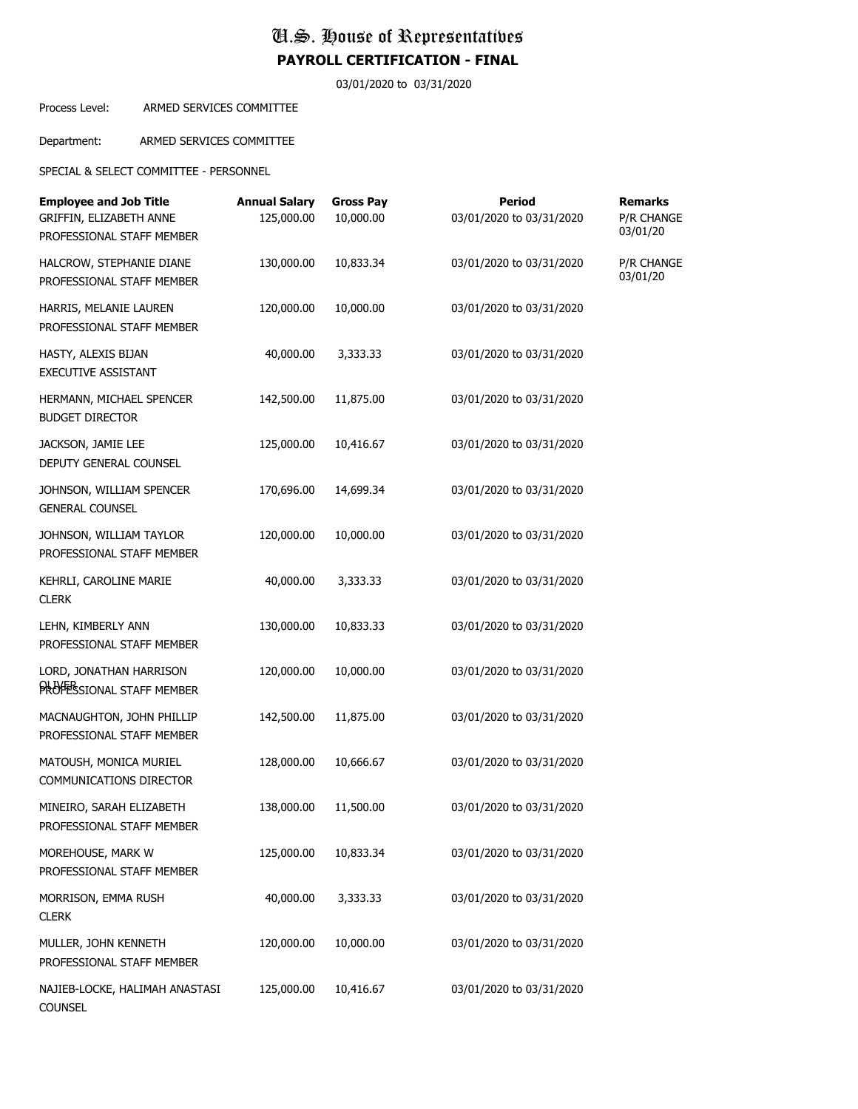03/01/2020 to 03/31/2020

#### Process Level: ARMED SERVICES COMMITTEE

Department: ARMED SERVICES COMMITTEE

SPECIAL & SELECT COMMITTEE - PERSONNEL

| <b>Employee and Job Title</b><br>GRIFFIN, ELIZABETH ANNE<br>PROFESSIONAL STAFF MEMBER | <b>Annual Salary</b><br>125,000.00 | <b>Gross Pay</b><br>10,000.00 | <b>Period</b><br>03/01/2020 to 03/31/2020 | <b>Remarks</b><br>P/R CHANGE<br>03/01/20 |
|---------------------------------------------------------------------------------------|------------------------------------|-------------------------------|-------------------------------------------|------------------------------------------|
| HALCROW, STEPHANIE DIANE<br>PROFESSIONAL STAFF MEMBER                                 | 130,000.00                         | 10,833.34                     | 03/01/2020 to 03/31/2020                  | P/R CHANGE<br>03/01/20                   |
| HARRIS, MELANIE LAUREN<br>PROFESSIONAL STAFF MEMBER                                   | 120,000.00                         | 10,000.00                     | 03/01/2020 to 03/31/2020                  |                                          |
| HASTY, ALEXIS BIJAN<br>EXECUTIVE ASSISTANT                                            | 40,000.00                          | 3,333.33                      | 03/01/2020 to 03/31/2020                  |                                          |
| HERMANN, MICHAEL SPENCER<br><b>BUDGET DIRECTOR</b>                                    | 142,500.00                         | 11,875.00                     | 03/01/2020 to 03/31/2020                  |                                          |
| JACKSON, JAMIE LEE<br>DEPUTY GENERAL COUNSEL                                          | 125,000.00                         | 10,416.67                     | 03/01/2020 to 03/31/2020                  |                                          |
| JOHNSON, WILLIAM SPENCER<br><b>GENERAL COUNSEL</b>                                    | 170,696.00                         | 14,699.34                     | 03/01/2020 to 03/31/2020                  |                                          |
| JOHNSON, WILLIAM TAYLOR<br>PROFESSIONAL STAFF MEMBER                                  | 120,000.00                         | 10,000.00                     | 03/01/2020 to 03/31/2020                  |                                          |
| KEHRLI, CAROLINE MARIE<br><b>CLERK</b>                                                | 40,000.00                          | 3,333.33                      | 03/01/2020 to 03/31/2020                  |                                          |
| LEHN, KIMBERLY ANN<br>PROFESSIONAL STAFF MEMBER                                       | 130,000.00                         | 10,833.33                     | 03/01/2020 to 03/31/2020                  |                                          |
| LORD, JONATHAN HARRISON<br>PROFESSIONAL STAFF MEMBER                                  | 120,000.00                         | 10,000.00                     | 03/01/2020 to 03/31/2020                  |                                          |
| MACNAUGHTON, JOHN PHILLIP<br>PROFESSIONAL STAFF MEMBER                                | 142,500.00                         | 11,875.00                     | 03/01/2020 to 03/31/2020                  |                                          |
| MATOUSH, MONICA MURIEL<br>COMMUNICATIONS DIRECTOR                                     | 128,000.00                         | 10,666.67                     | 03/01/2020 to 03/31/2020                  |                                          |
| MINEIRO, SARAH ELIZABETH<br>PROFESSIONAL STAFF MEMBER                                 | 138,000.00                         | 11,500.00                     | 03/01/2020 to 03/31/2020                  |                                          |
| MOREHOUSE, MARK W<br>PROFESSIONAL STAFF MEMBER                                        | 125,000.00                         | 10,833.34                     | 03/01/2020 to 03/31/2020                  |                                          |
| MORRISON, EMMA RUSH<br><b>CLERK</b>                                                   | 40,000.00                          | 3,333.33                      | 03/01/2020 to 03/31/2020                  |                                          |
| MULLER, JOHN KENNETH<br>PROFESSIONAL STAFF MEMBER                                     | 120,000.00                         | 10,000.00                     | 03/01/2020 to 03/31/2020                  |                                          |
| NAJIEB-LOCKE, HALIMAH ANASTASI<br><b>COUNSEL</b>                                      | 125,000.00                         | 10,416.67                     | 03/01/2020 to 03/31/2020                  |                                          |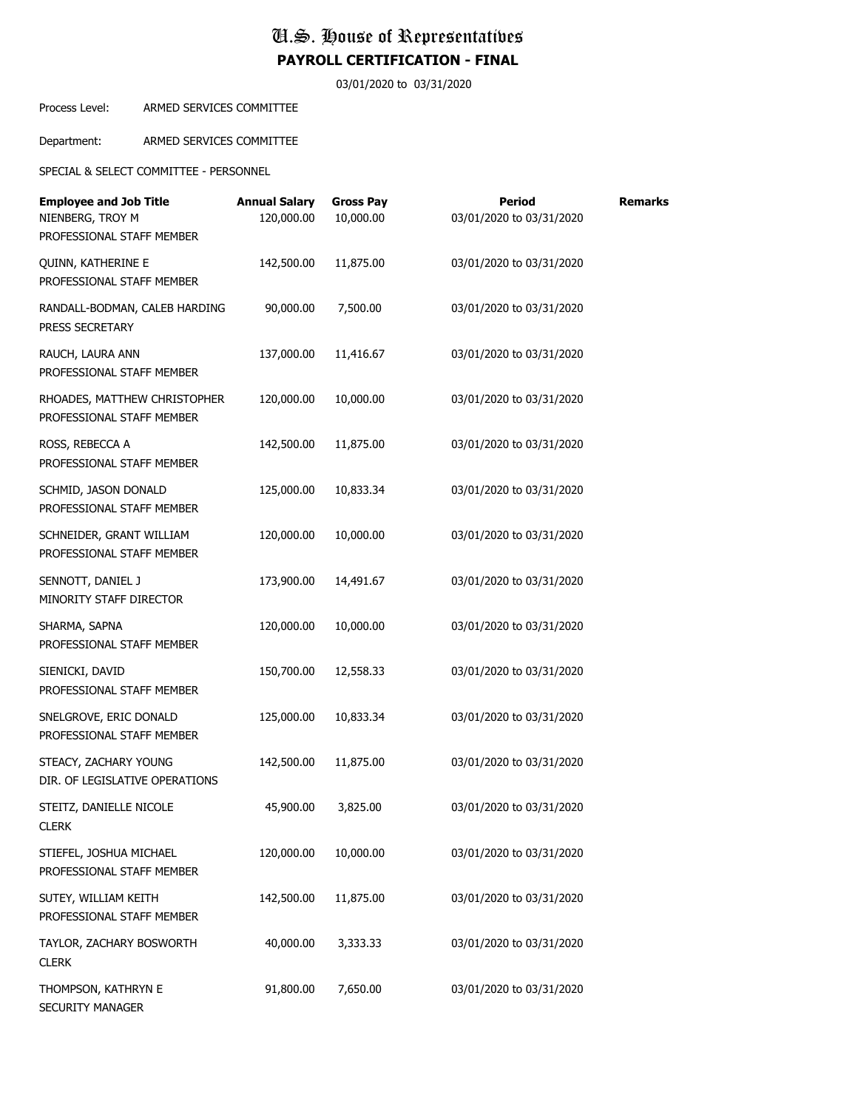03/01/2020 to 03/31/2020

Process Level: ARMED SERVICES COMMITTEE

Department: ARMED SERVICES COMMITTEE

SPECIAL & SELECT COMMITTEE - PERSONNEL

| <b>Employee and Job Title</b><br>NIENBERG, TROY M<br>PROFESSIONAL STAFF MEMBER | <b>Annual Salary</b><br>120,000.00 | <b>Gross Pay</b><br>10,000.00 | <b>Period</b><br>03/01/2020 to 03/31/2020 | <b>Remarks</b> |
|--------------------------------------------------------------------------------|------------------------------------|-------------------------------|-------------------------------------------|----------------|
| QUINN, KATHERINE E<br>PROFESSIONAL STAFF MEMBER                                | 142,500.00                         | 11,875.00                     | 03/01/2020 to 03/31/2020                  |                |
| RANDALL-BODMAN, CALEB HARDING<br>PRESS SECRETARY                               | 90,000.00                          | 7,500.00                      | 03/01/2020 to 03/31/2020                  |                |
| RAUCH, LAURA ANN<br>PROFESSIONAL STAFF MEMBER                                  | 137,000.00                         | 11,416.67                     | 03/01/2020 to 03/31/2020                  |                |
| RHOADES, MATTHEW CHRISTOPHER<br>PROFESSIONAL STAFF MEMBER                      | 120,000.00                         | 10,000.00                     | 03/01/2020 to 03/31/2020                  |                |
| ROSS, REBECCA A<br>PROFESSIONAL STAFF MEMBER                                   | 142,500.00                         | 11,875.00                     | 03/01/2020 to 03/31/2020                  |                |
| SCHMID, JASON DONALD<br>PROFESSIONAL STAFF MEMBER                              | 125,000.00                         | 10,833.34                     | 03/01/2020 to 03/31/2020                  |                |
| SCHNEIDER, GRANT WILLIAM<br>PROFESSIONAL STAFF MEMBER                          | 120,000.00                         | 10,000.00                     | 03/01/2020 to 03/31/2020                  |                |
| SENNOTT, DANIEL J<br>MINORITY STAFF DIRECTOR                                   | 173,900.00                         | 14,491.67                     | 03/01/2020 to 03/31/2020                  |                |
| SHARMA, SAPNA<br>PROFESSIONAL STAFF MEMBER                                     | 120,000.00                         | 10,000.00                     | 03/01/2020 to 03/31/2020                  |                |
| SIENICKI, DAVID<br>PROFESSIONAL STAFF MEMBER                                   | 150,700.00                         | 12,558.33                     | 03/01/2020 to 03/31/2020                  |                |
| SNELGROVE, ERIC DONALD<br>PROFESSIONAL STAFF MEMBER                            | 125,000.00                         | 10,833.34                     | 03/01/2020 to 03/31/2020                  |                |
| STEACY, ZACHARY YOUNG<br>DIR. OF LEGISLATIVE OPERATIONS                        | 142,500.00                         | 11,875.00                     | 03/01/2020 to 03/31/2020                  |                |
| STEITZ, DANIELLE NICOLE<br><b>CLERK</b>                                        | 45,900.00                          | 3,825.00                      | 03/01/2020 to 03/31/2020                  |                |
| STIEFEL, JOSHUA MICHAEL<br>PROFESSIONAL STAFF MEMBER                           | 120,000.00                         | 10,000.00                     | 03/01/2020 to 03/31/2020                  |                |
| SUTEY, WILLIAM KEITH<br>PROFESSIONAL STAFF MEMBER                              | 142,500.00                         | 11,875.00                     | 03/01/2020 to 03/31/2020                  |                |
| TAYLOR, ZACHARY BOSWORTH<br><b>CLERK</b>                                       | 40,000.00                          | 3,333.33                      | 03/01/2020 to 03/31/2020                  |                |
| THOMPSON, KATHRYN E<br>SECURITY MANAGER                                        | 91,800.00                          | 7,650.00                      | 03/01/2020 to 03/31/2020                  |                |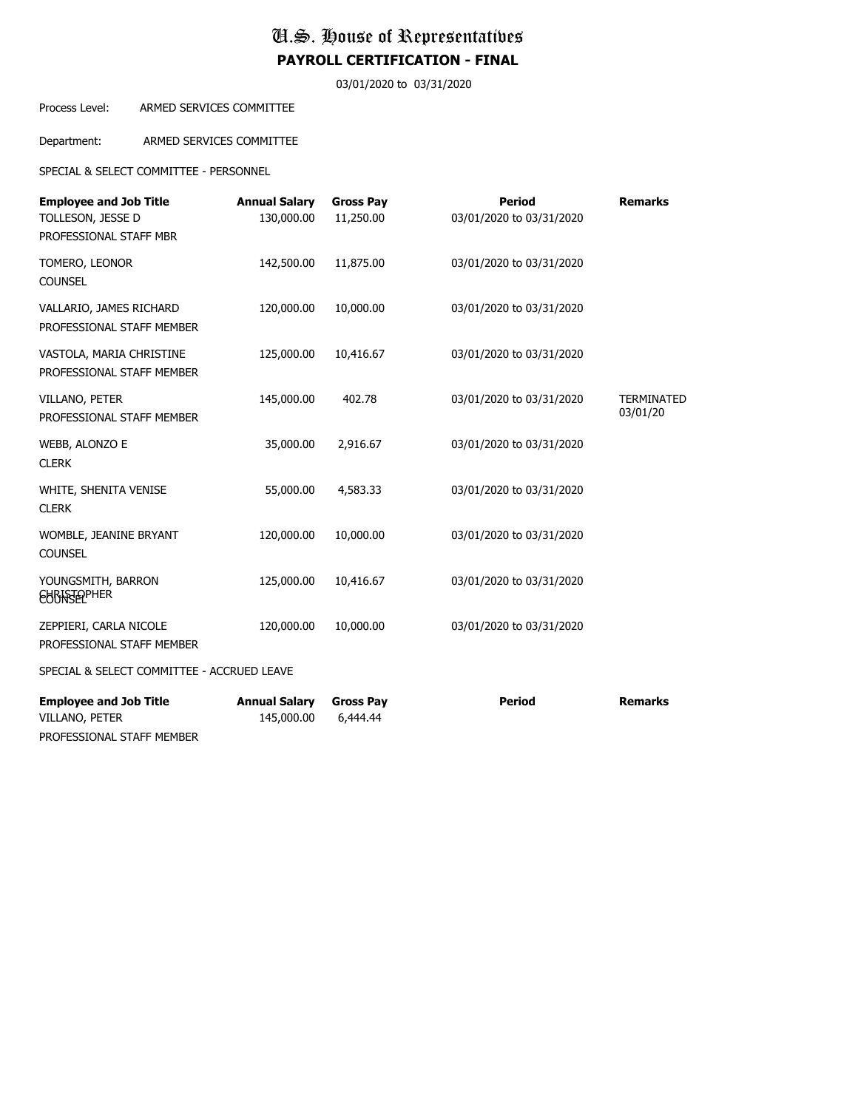03/01/2020 to 03/31/2020

#### Process Level: ARMED SERVICES COMMITTEE

Department: ARMED SERVICES COMMITTEE

SPECIAL & SELECT COMMITTEE - PERSONNEL

| <b>Employee and Job Title</b><br>TOLLESON, JESSE D<br>PROFESSIONAL STAFF MBR | <b>Annual Salary</b><br>130,000.00 | <b>Gross Pay</b><br>11,250.00 | <b>Period</b><br>03/01/2020 to 03/31/2020 | <b>Remarks</b>                |
|------------------------------------------------------------------------------|------------------------------------|-------------------------------|-------------------------------------------|-------------------------------|
| TOMERO, LEONOR<br><b>COUNSEL</b>                                             | 142,500.00                         | 11,875.00                     | 03/01/2020 to 03/31/2020                  |                               |
| VALLARIO, JAMES RICHARD<br>PROFESSIONAL STAFF MEMBER                         | 120,000.00                         | 10,000.00                     | 03/01/2020 to 03/31/2020                  |                               |
| VASTOLA, MARIA CHRISTINE<br>PROFESSIONAL STAFF MEMBER                        | 125,000.00                         | 10,416.67                     | 03/01/2020 to 03/31/2020                  |                               |
| VILLANO, PETER<br>PROFESSIONAL STAFF MEMBER                                  | 145,000.00                         | 402.78                        | 03/01/2020 to 03/31/2020                  | <b>TERMINATED</b><br>03/01/20 |
| WEBB, ALONZO E<br><b>CLERK</b>                                               | 35,000.00                          | 2,916.67                      | 03/01/2020 to 03/31/2020                  |                               |
| WHITE, SHENITA VENISE<br><b>CLERK</b>                                        | 55,000.00                          | 4,583.33                      | 03/01/2020 to 03/31/2020                  |                               |
| WOMBLE, JEANINE BRYANT<br><b>COUNSEL</b>                                     | 120,000.00                         | 10,000.00                     | 03/01/2020 to 03/31/2020                  |                               |
| YOUNGSMITH, BARRON<br><b>EURASEPHER</b>                                      | 125,000.00                         | 10,416.67                     | 03/01/2020 to 03/31/2020                  |                               |
| ZEPPIERI, CARLA NICOLE<br>PROFESSIONAL STAFF MEMBER                          | 120,000.00                         | 10,000.00                     | 03/01/2020 to 03/31/2020                  |                               |
| SPECIAL & SELECT COMMITTEE - ACCRUED LEAVE                                   |                                    |                               |                                           |                               |
| <b>Employee and Job Title</b><br>VILLANO, PETER                              | <b>Annual Salary</b><br>145,000.00 | <b>Gross Pay</b><br>6,444.44  | <b>Period</b>                             | <b>Remarks</b>                |

PROFESSIONAL STAFF MEMBER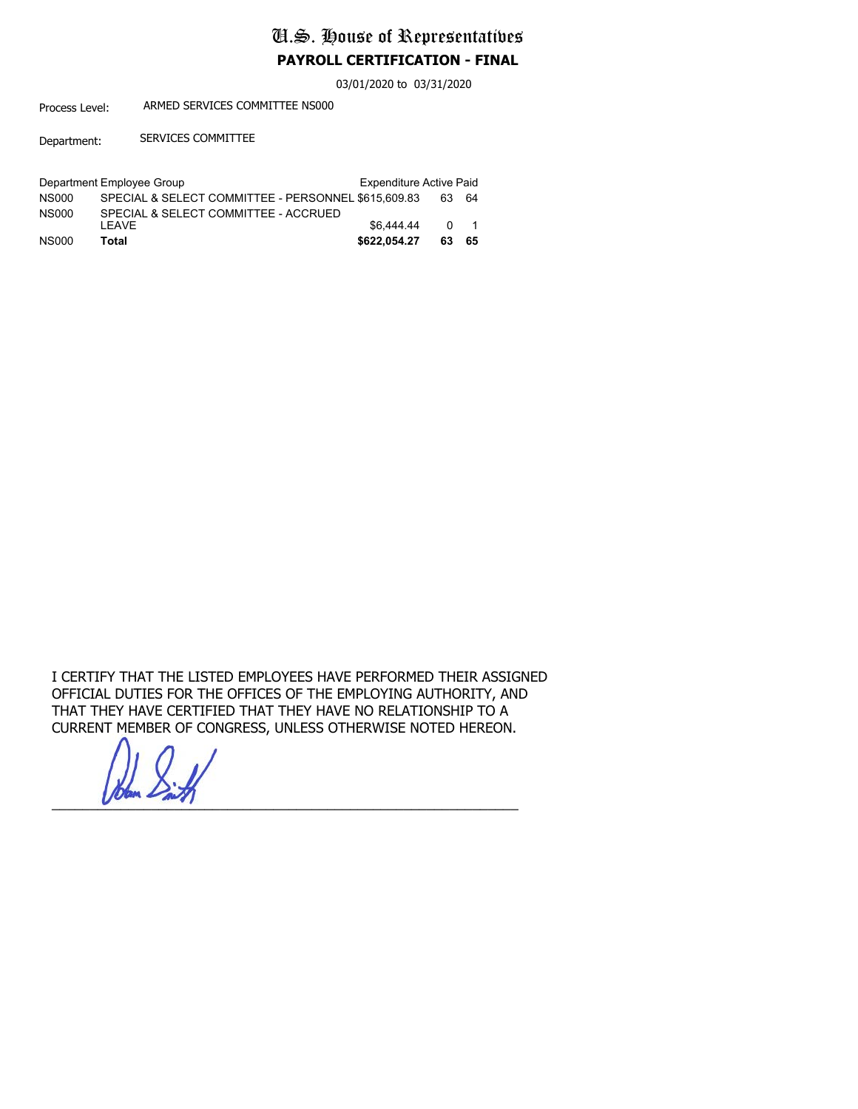03/01/2020 to 03/31/2020

Process Level: ARMED SERVICES COMMITTEE NS000

Department: SERVICES COMMITTEE

|              | Department Employee Group                           | <b>Expenditure Active Paid</b> |     |      |
|--------------|-----------------------------------------------------|--------------------------------|-----|------|
| <b>NS000</b> | SPECIAL & SELECT COMMITTEE - PERSONNEL \$615,609.83 |                                | 63. | - 64 |
| <b>NS000</b> | SPECIAL & SELECT COMMITTEE - ACCRUED                |                                |     |      |
|              | I FAVF                                              | \$6,444.44                     |     | 0 1  |
| <b>NS000</b> | Total                                               | \$622.054.27                   | 63  | -65  |

I CERTIFY THAT THE LISTED EMPLOYEES HAVE PERFORMED THEIR ASSIGNED OFFICIAL DUTIES FOR THE OFFICES OF THE EMPLOYING AUTHORITY, AND THAT THEY HAVE CERTIFIED THAT THEY HAVE NO RELATIONSHIP TO A CURRENT MEMBER OF CONGRESS, UNLESS OTHERWISE NOTED HEREON.

 $\sum_{i=1}^{n}$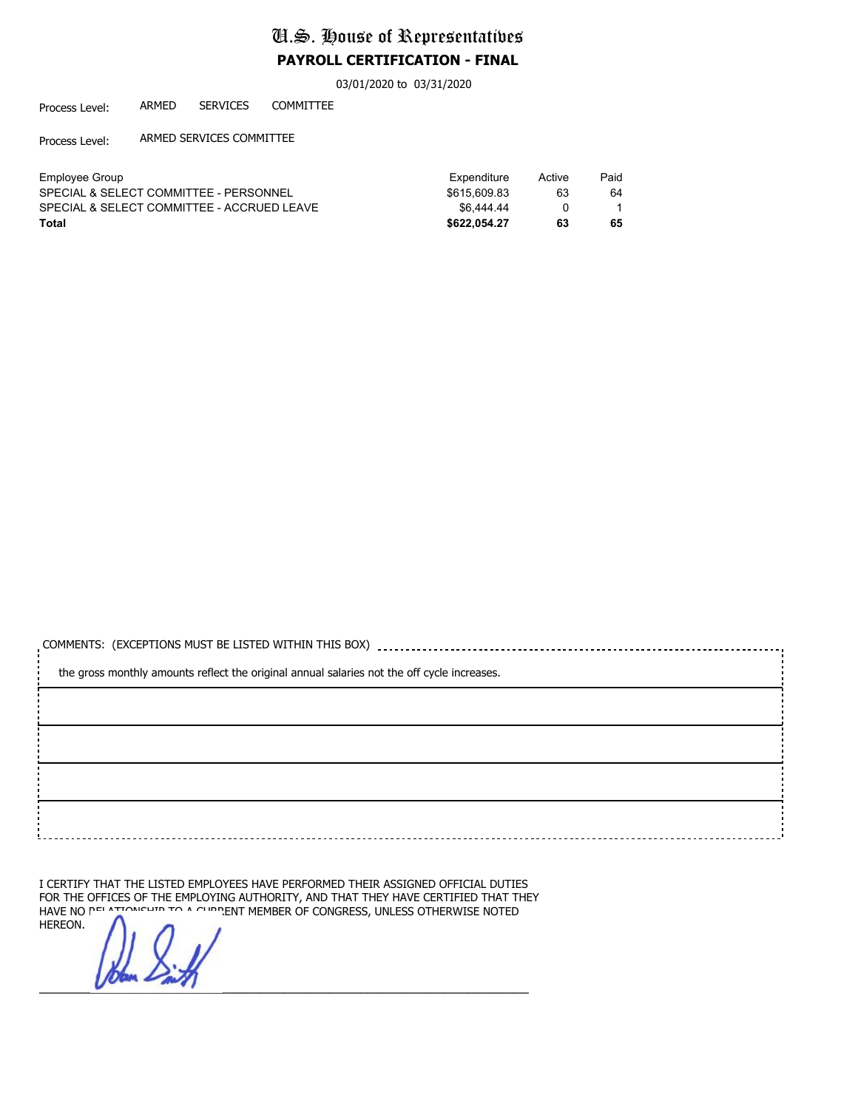03/01/2020 to 03/31/2020

Process Level: ARMED SERVICES COMMITTEE

Process Level: ARMED SERVICES COMMITTEE

| Employee Group                             | Expenditure  | Active | Paid |
|--------------------------------------------|--------------|--------|------|
| SPECIAL & SELECT COMMITTEE - PERSONNEL     | \$615.609.83 | 63     | 64   |
| SPECIAL & SELECT COMMITTEE - ACCRUED LEAVE | \$6,444.44   |        |      |
| Total                                      | \$622.054.27 | 63     | 65   |

| the gross monthly amounts reflect the original annual salaries not the off cycle increases. |  |  |  |  |  |
|---------------------------------------------------------------------------------------------|--|--|--|--|--|
|                                                                                             |  |  |  |  |  |
|                                                                                             |  |  |  |  |  |
|                                                                                             |  |  |  |  |  |
|                                                                                             |  |  |  |  |  |
|                                                                                             |  |  |  |  |  |

I CERTIFY THAT THE LISTED EMPLOYEES HAVE PERFORMED THEIR ASSIGNED OFFICIAL DUTIES FOR THE OFFICES OF THE EMPLOYING AUTHORITY, AND THAT THEY HAVE CERTIFIED THAT THEY HAVE NOTED HAVE NOTED HAVE NO RELATIONSHIP TO A CURRENT MEMBER OF CONGRESS, UNLESS OTHERWISE NOTED HEREON.

 $\sqrt{2}$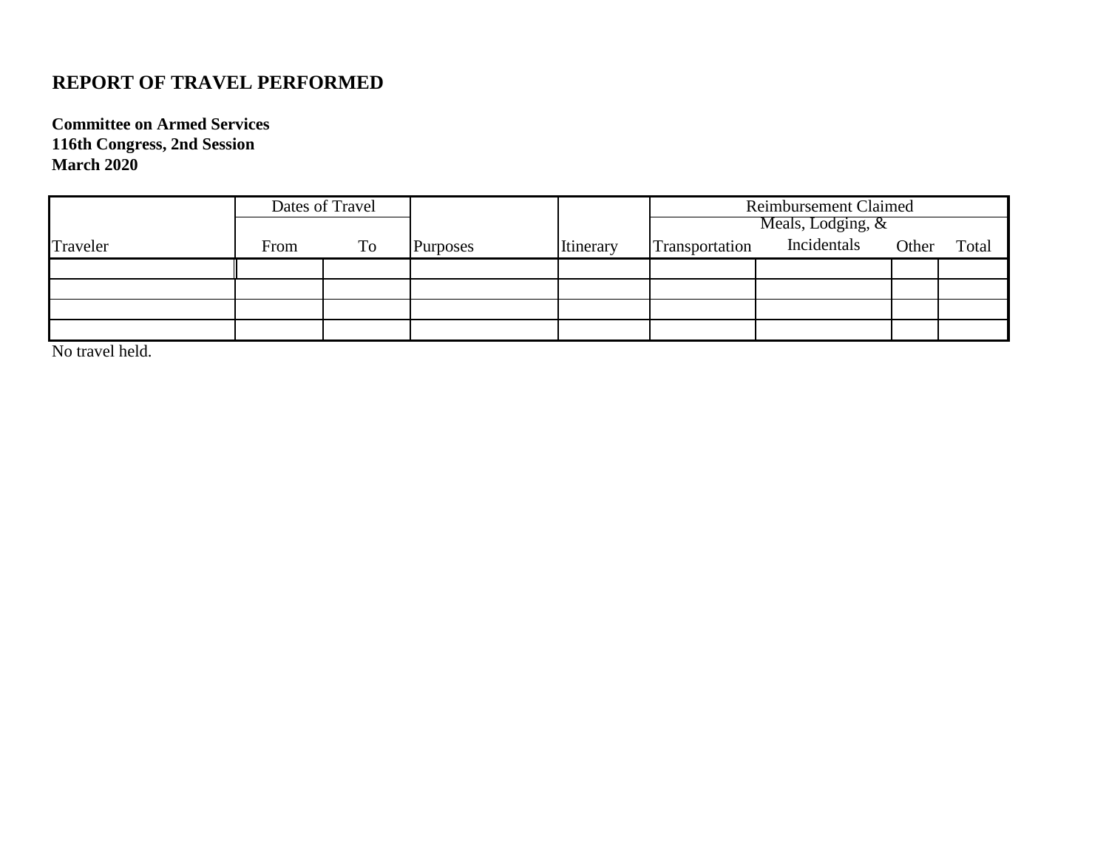## **REPORT OF TRAVEL PERFORMED**

**Committee on Armed Services 116th Congress, 2nd Session March 2020**

|          | Dates of Travel |    |                 |           | <b>Reimbursement Claimed</b><br>Meals, Lodging, & |             |       |       |
|----------|-----------------|----|-----------------|-----------|---------------------------------------------------|-------------|-------|-------|
| Traveler | From            | To | <b>Purposes</b> | Itinerary | Transportation                                    | Incidentals | Other | Total |
|          |                 |    |                 |           |                                                   |             |       |       |
|          |                 |    |                 |           |                                                   |             |       |       |
|          |                 |    |                 |           |                                                   |             |       |       |
|          |                 |    |                 |           |                                                   |             |       |       |

No travel held.